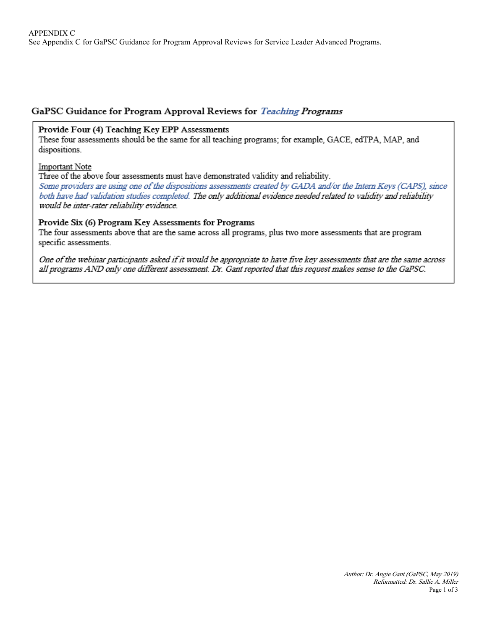# GaPSC Guidance for Program Approval Reviews for Teaching Programs

### Provide Four (4) Teaching Key EPP Assessments

These four assessments should be the same for all teaching programs; for example, GACE, edTPA, MAP, and dispositions.

#### Important Note

Three of the above four assessments must have demonstrated validity and reliability.

Some providers are using one of the dispositions assessments created by GADA and/or the Intern Keys (CAPS), since both have had validation studies completed. The only additional evidence needed related to validity and reliability would be inter-rater reliability evidence.

### Provide Six (6) Program Key Assessments for Programs

The four assessments above that are the same across all programs, plus two more assessments that are program specific assessments.

One of the webinar participants asked if it would be appropriate to have five key assessments that are the same across all programs AND only one different assessment. Dr. Gant reported that this request makes sense to the GaPSC.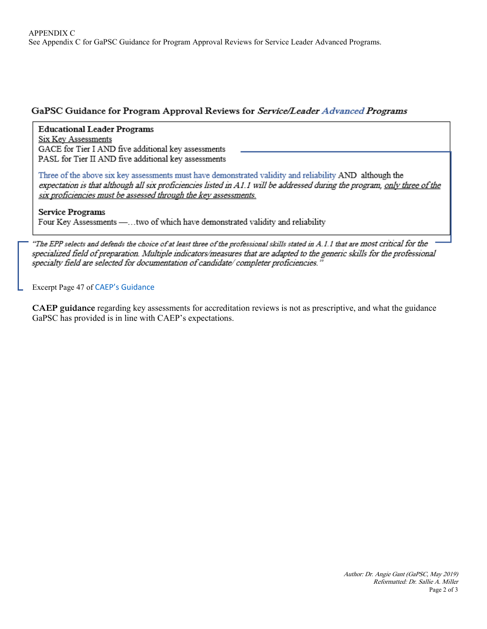## GaPSC Guidance for Program Approval Reviews for Service/Leader Advanced Programs

### **Educational Leader Programs**

**Six Key Assessments** GACE for Tier I AND five additional key assessments PASL for Tier II AND five additional key assessments

Three of the above six key assessments must have demonstrated validity and reliability AND although the expectation is that although all six proficiencies listed in A1.1 will be addressed during the program, only three of the six proficiencies must be assessed through the key assessments.

### **Service Programs**

Four Key Assessments -... two of which have demonstrated validity and reliability

"The EPP selects and defends the choice of at least three of the professional skills stated in A.1.1 that are most critical for the specialized field of preparation. Multiple indicators/measures that are adapted to the generic skills for the professional specialty field are selected for documentation of candidate/completer proficiencies."

Excerpt Page 47 of [CAEP's Gu](http://www.caepnet.org/~/media/Files/caep/accreditation-resources/handbook-guidance-self-study-reports-adv.pdf?la=en)idance

**CAEP guidance** regarding key assessments for accreditation reviews is not as prescriptive, and what the guidance GaPSC has provided is in line with CAEP's expectations.